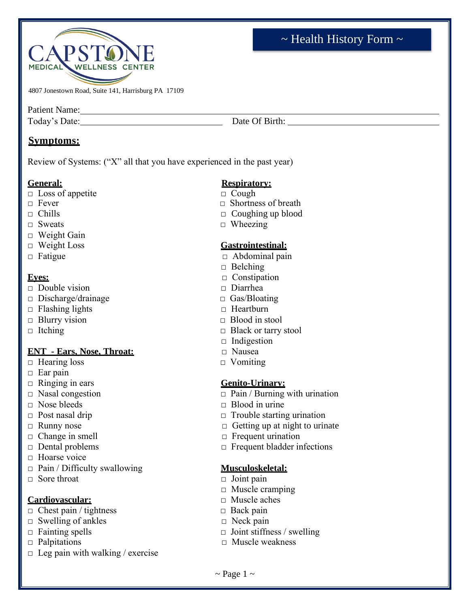

4807 Jonestown Road, Suite 141, Harrisburg PA 17109

Patient Name: Name:

Today's Date: Date: Date Of Birth: Date Of Birth:

# **Symptoms:**

Review of Systems: ("X" all that you have experienced in the past year)

- □ Loss of appetite □ Cough
- 
- 
- 
- $\neg$  Weight Gain
- 
- 

- □ Double vision □ Diarrhea
- □ Discharge/drainage □ Gas/Bloating
- □ Flashing lights □ Heartburn
- □ Blurry vision □ Blood in stool
- 

# **ENT - Ears, Nose, Throat:** □ Nausea

- □ Hearing loss □ Vomiting
- $\Box$  Ear pain
- □ Ringing in ears **Genito-Urinary:**
- 
- □ Nose bleeds □ Blood in urine
- 
- 
- 
- 
- □ Hoarse voice
- □ Pain / Difficulty swallowing **Musculoskeletal:**
- □ Sore throat □ Joint pain

# **Cardiovascular:** □ Muscle aches

- □ Chest pain / tightness □ Back pain
- □ Swelling of ankles □ Neck pain
- 
- 
- $\Box$  Leg pain with walking / exercise

# **General: Respiratory:**

- 
- $\Box$  Fever  $\Box$  Shortness of breath
- $\Box$  Chills  $\Box$  Coughing up blood
- □ Sweats □ Wheezing

# □ Weight Loss **Gastrointestinal:**

- □ Fatigue □ Abdominal pain
	- □ Belching
- **Eyes:** □ Constipation
	-
	-
	-
	-
- □ Itching □ Black or tarry stool
	- $\Box$  Indigestion
	-
	-

- $\Box$  Nasal congestion  $\Box$  Pain / Burning with urination
	-
- □ Post nasal drip □ Irouble starting urination
- □ Runny nose □ Getting up at night to urinate
- □ Change in smell □ Frequent urination
- □ Dental problems □ Frequent bladder infections

- 
- □ Muscle cramping
- 
- 
- 
- □ Fainting spells □ Joint stiffness / swelling
- □ Palpitations □ Muscle weakness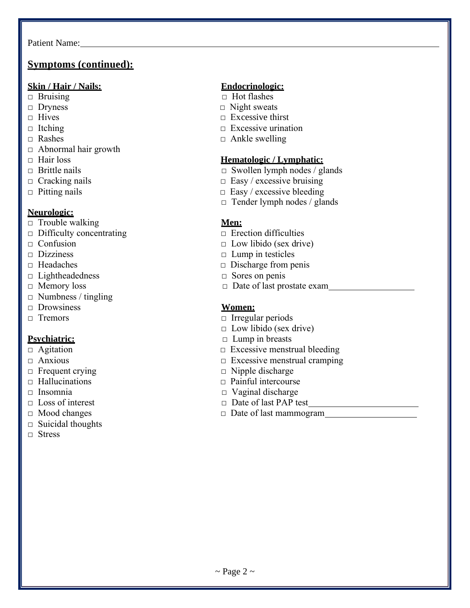# **Symptoms (continued):**

### **Skin / Hair / Nails: Endocrinologic:**

- 
- 
- 
- 
- 
- □ Abnormal hair growth
- 
- 
- 
- 

### **Neurologic:**

- □ Trouble walking **Men:**
- □ Difficulty concentrating □ Erection difficulties
- 
- 
- 
- □ Lightheadedness □ Sores on penis
- 
- $\Box$  Numbness / tingling
- □ Drowsiness **Women:**
- 

- 
- 
- 
- 
- 
- 
- 
- $\Box$  Suicidal thoughts
- □ Stress

- □ Bruising □ Hot flashes
- □ Dryness □ Night sweats
- $\Box$  Hives  $\Box$  Excessive thirst
- $\Box$  Itching  $\Box$  Excessive urination
- $\Box$  Rashes  $\Box$  Ankle swelling

### □ Hair loss **Hematologic / Lymphatic:**

- □ Brittle nails □ Swollen lymph nodes / glands
- $\Box$  Cracking nails  $\Box$  Easy / excessive bruising
- □ Pitting nails □ Easy / excessive bleeding
	- $\Box$  Tender lymph nodes / glands

- 
- □ Confusion □ Low libido (sex drive)
- □ Dizziness □ Lump in testicles
- □ Headaches □ Discharge from penis
	-
- □ Memory loss □ Date of last prostate exam

- □ Tremors □ Irregular periods
	- $\Box$  Low libido (sex drive)
- **Psychiatric:** □ Lump in breasts
- □ Agitation □ Excessive menstrual bleeding
- □ Anxious □ Excessive menstrual cramping
- □ Frequent crying □ Nipple discharge
- □ Hallucinations □ Painful intercourse
- □ Insomnia □ Vaginal discharge
- □ Loss of interest □ Date of last PAP test
- □ Mood changes □ Date of last mammogram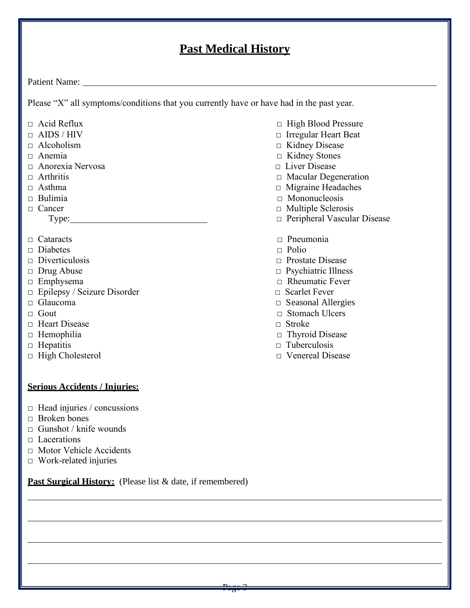# **Past Medical History**

 $\frac{1}{2}$   $\frac{1}{2}$   $\frac{1}{2}$   $\frac{1}{2}$   $\frac{1}{2}$   $\frac{1}{2}$   $\frac{1}{2}$   $\frac{1}{2}$   $\frac{1}{2}$   $\frac{1}{2}$   $\frac{1}{2}$   $\frac{1}{2}$   $\frac{1}{2}$   $\frac{1}{2}$   $\frac{1}{2}$   $\frac{1}{2}$   $\frac{1}{2}$   $\frac{1}{2}$   $\frac{1}{2}$   $\frac{1}{2}$   $\frac{1}{2}$   $\frac{1}{2$ 

Patient Name:

Please "X" all symptoms/conditions that you currently have or have had in the past year.

- 
- 
- 
- 
- □ Anorexia Nervosa □ Liver Disease
- 
- 
- 
- 

- 
- □ Diabetes □ Polio
- 
- 
- 
- □ Epilepsy / Seizure Disorder □ Scarlet Fever
- 
- 
- □ Heart Disease □ Stroke
- 
- 
- 

### **Serious Accidents / Injuries:**

- $\Box$  Head injuries / concussions
- $\Box$  Broken bones
- $\Box$  Gunshot / knife wounds
- □ Lacerations
- □ Motor Vehicle Accidents
- $\Box$  Work-related injuries

Past Surgical History: (Please list & date, if remembered)

- □ Acid Reflux □ Acid Reflux □ High Blood Pressure
- □ AIDS / HIV □ Irregular Heart Beat
- □ Alcoholism □ Kidney Disease
- □ Anemia □ Kidney Stones
	-
- □ Arthritis □ Macular Degeneration
- □ Asthma □ Migraine Headaches
- □ Bulimia □ Mononucleosis
- □ Cancer □ Nultiple Sclerosis
	- Type: □ Peripheral Vascular Disease
- □ Cataracts □ Pneumonia
	-
- □ Diverticulosis □ Prostate Disease
- □ Drug Abuse □ Psychiatric Illness
- □ Emphysema □ Rheumatic Fever
	-
- □ Glaucoma □ Seasonal Allergies
- □ Gout □ Stomach Ulcers
	-
- □ Hemophilia □ Thyroid Disease
- □ Hepatitis □ Tuberculosis
- □ High Cholesterol □ Venereal Disease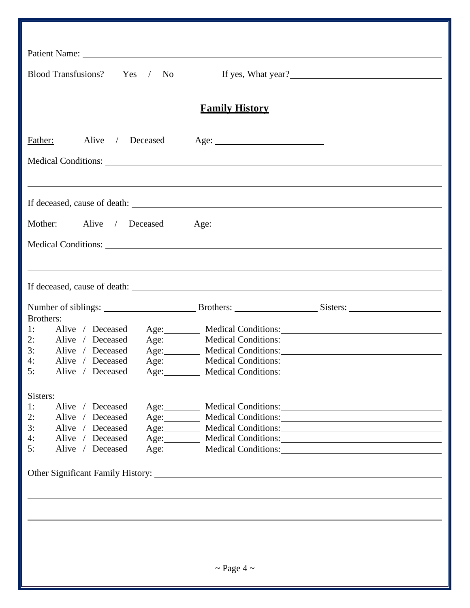| Blood Transfusions? Yes / No                                                              |                            | If yes, What year?                                                       |
|-------------------------------------------------------------------------------------------|----------------------------|--------------------------------------------------------------------------|
|                                                                                           | <b>Family History</b>      |                                                                          |
| Alive / Deceased Age:<br>Father:                                                          |                            |                                                                          |
|                                                                                           |                            |                                                                          |
|                                                                                           |                            |                                                                          |
| Mother: Alive / Deceased Age: 1998.                                                       |                            |                                                                          |
|                                                                                           |                            |                                                                          |
|                                                                                           |                            |                                                                          |
|                                                                                           |                            |                                                                          |
| Brothers:<br>1:                                                                           |                            |                                                                          |
| Alive / Deceased Age: Medical Conditions: 2008 Medical Conditions:<br>2: Alive / Deceased |                            | Age: Medical Conditions: Medical Conditions:                             |
| 3: Alive / Deceased                                                                       |                            | Age: Medical Conditions: Medical Conditions:                             |
| 4:<br>Alive / Deceased                                                                    |                            | Age: Medical Conditions: Medical Conditions:                             |
| 5:<br>Alive / Deceased                                                                    | <b>Medical Conditions:</b> |                                                                          |
| Sisters:                                                                                  |                            |                                                                          |
| 1:<br>Alive / Deceased                                                                    |                            | Age: Medical Conditions:                                                 |
| 2:<br>Alive / Deceased                                                                    |                            | Age: Medical Conditions: Medical Conditions:                             |
| 3:<br>Alive / Deceased                                                                    |                            | Age: Medical Conditions: Medical Conditions:                             |
| 4:<br>Alive / Deceased<br>5:<br>Alive / Deceased                                          |                            | Age: Medical Conditions:<br>Age: Medical Conditions: Medical Conditions: |
|                                                                                           |                            |                                                                          |
|                                                                                           |                            |                                                                          |
|                                                                                           |                            |                                                                          |
|                                                                                           |                            |                                                                          |
|                                                                                           |                            |                                                                          |
|                                                                                           | $\sim$ Page 4 $\sim$       |                                                                          |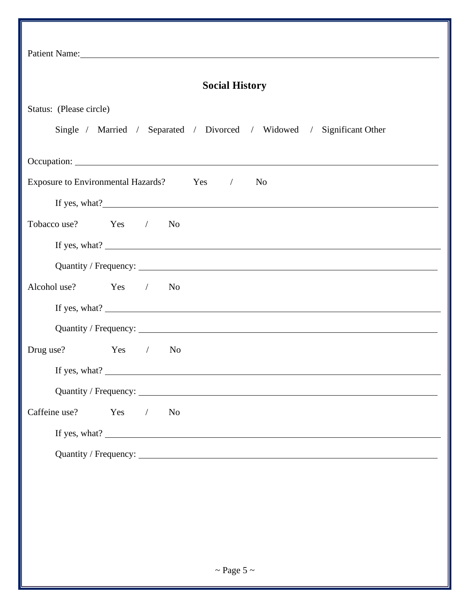| Patient Name: 2008                                         |         |  |                |                                                                       |  |  |
|------------------------------------------------------------|---------|--|----------------|-----------------------------------------------------------------------|--|--|
| <b>Social History</b>                                      |         |  |                |                                                                       |  |  |
| Status: (Please circle)                                    |         |  |                |                                                                       |  |  |
|                                                            |         |  |                | Single / Married / Separated / Divorced / Widowed / Significant Other |  |  |
|                                                            |         |  |                |                                                                       |  |  |
| Exposure to Environmental Hazards? Yes /<br>N <sub>0</sub> |         |  |                |                                                                       |  |  |
|                                                            |         |  |                |                                                                       |  |  |
| Tobacco use?  Yes / No                                     |         |  |                |                                                                       |  |  |
|                                                            |         |  |                |                                                                       |  |  |
|                                                            |         |  |                |                                                                       |  |  |
| Alcohol use? Yes / No                                      |         |  |                |                                                                       |  |  |
|                                                            |         |  |                |                                                                       |  |  |
|                                                            |         |  |                |                                                                       |  |  |
| Drug use? Yes / No                                         |         |  |                |                                                                       |  |  |
|                                                            |         |  |                | If yes, what? $\qquad \qquad$                                         |  |  |
|                                                            |         |  |                |                                                                       |  |  |
| Caffeine use?                                              | $Yes$ / |  | N <sub>o</sub> |                                                                       |  |  |
|                                                            |         |  |                |                                                                       |  |  |
|                                                            |         |  |                |                                                                       |  |  |
|                                                            |         |  |                |                                                                       |  |  |
|                                                            |         |  |                |                                                                       |  |  |
|                                                            |         |  |                |                                                                       |  |  |
|                                                            |         |  |                |                                                                       |  |  |